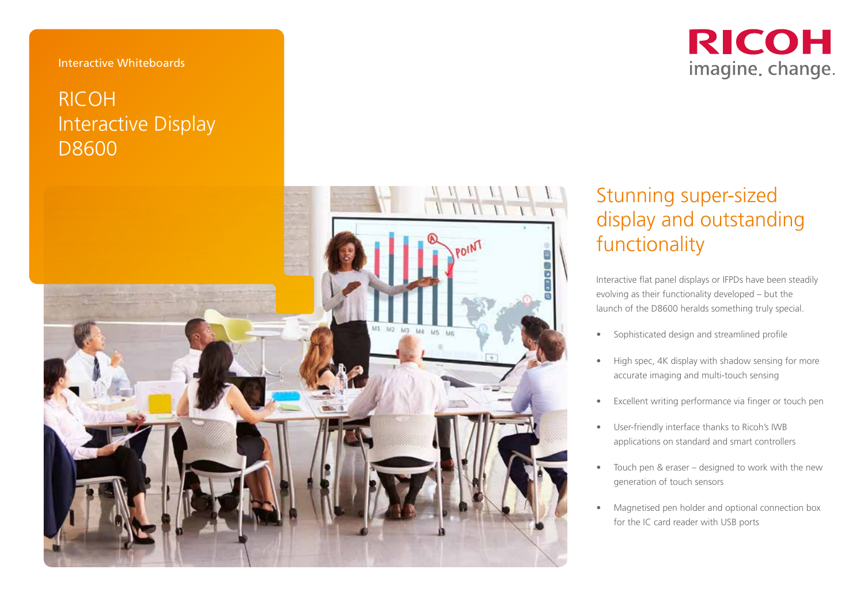#### Interactive Whiteboards

## RICOH Interactive Display D8600



# **RICOH** imagine. change.

# Stunning super-sized display and outstanding functionality

Interactive flat panel displays or IFPDs have been steadily evolving as their functionality developed – but the launch of the D8600 heralds something truly special.

- 
- Sophisticated design and streamlined profile High spec, 4K display with shadow sensing for more accurate imaging and multi-touch sensing
- Excellent writing performance via finger or touch pen
- User-friendly interface thanks to Ricoh's IWB applications on standard and smart controllers
- Touch pen & eraser designed to work with the new generation of touch sensors
- Magnetised pen holder and optional connection box for the IC card reader with USB ports